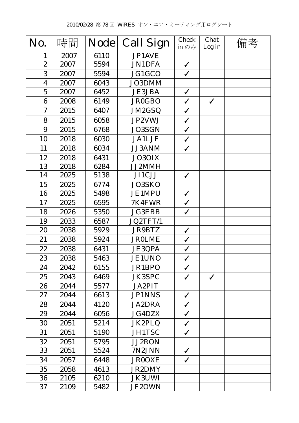| No.              | 時間   | <b>Node</b> | <b>Call Sign</b> | <b>Check</b><br>in $\mathcal{D}$ $\mathcal{H}$ | Chat<br>Log in | 備考 |
|------------------|------|-------------|------------------|------------------------------------------------|----------------|----|
| 1                | 2007 | 6110        | JP1AVE           |                                                |                |    |
| $\overline{2}$   | 2007 | 5594        | <b>JN1DFA</b>    | $\checkmark$                                   |                |    |
| 3                | 2007 | 5594        | JG1GCO           | $\checkmark$                                   |                |    |
| $\boldsymbol{4}$ | 2007 | 6043        | JO3DMM           |                                                |                |    |
| $\mathbf 5$      | 2007 | 6452        | <b>JE3JBA</b>    | $\checkmark$                                   |                |    |
| 6                | 2008 | 6149        | <b>JR0GBO</b>    | $\checkmark$                                   | $\checkmark$   |    |
| $\boldsymbol{7}$ | 2015 | 6407        | JM2GSQ           | $\checkmark$                                   |                |    |
| 8                | 2015 | 6058        | JP2VWJ           | $\checkmark$                                   |                |    |
| 9                | 2015 | 6768        | <b>JO3SGN</b>    | $\checkmark$                                   |                |    |
| 10               | 2018 | 6030        | <b>JA1LJF</b>    | $\checkmark$                                   |                |    |
| 11               | 2018 | 6034        | <b>JJ3ANM</b>    | $\checkmark$                                   |                |    |
| 12               | 2018 | 6431        | <b>JO3OIX</b>    |                                                |                |    |
| 13               | 2018 | 6284        | JJ2MMH           |                                                |                |    |
| 14               | 2025 | 5138        | JI1CJJ           | $\checkmark$                                   |                |    |
| 15               | 2025 | 6774        | JO3SKO           |                                                |                |    |
| 16               | 2025 | 5498        | <b>JE1MPU</b>    | $\checkmark$                                   |                |    |
| 17               | 2025 | 6595        | 7K4FWR           | $\checkmark$                                   |                |    |
| 18               | 2026 | 5350        | <b>JG3EBB</b>    | $\checkmark$                                   |                |    |
| 19               | 2033 | 6587        | JQ2TFT/1         |                                                |                |    |
| 20               | 2038 | 5929        | <b>JR9BTZ</b>    | $\checkmark$                                   |                |    |
| 21               | 2038 | 5924        | <b>JR0LME</b>    | $\checkmark$                                   |                |    |
| 22               | 2038 | 6431        | <b>JE3QPA</b>    | $\checkmark$                                   |                |    |
| 23               | 2038 | 5463        | <b>JE1UNO</b>    | $\checkmark$                                   |                |    |
| 24               | 2042 | 6155        | JR1BPO           | $\checkmark$                                   |                |    |
| 25               | 2043 | 6469        | JK3SPC           | $\checkmark$                                   | $\checkmark$   |    |
| 26               | 2044 | 5577        | <b>JA2PIT</b>    |                                                |                |    |
| 27               | 2044 | 6613        | <b>JP1NNS</b>    | $\checkmark$                                   |                |    |
| 28               | 2044 | 4120        | <b>JA2DRA</b>    | $\checkmark$                                   |                |    |
| 29               | 2044 | 6056        | <b>JG4DZX</b>    | $\checkmark$                                   |                |    |
| 30               | 2051 | 5214        | JK2PLQ           | $\checkmark$                                   |                |    |
| 31               | 2051 | 5190        | <b>JH1TSC</b>    | $\checkmark$                                   |                |    |
| 32               | 2051 | 5795        | <b>JJ2RON</b>    |                                                |                |    |
| 33               | 2051 | 5524        | 7N2JNN           | $\checkmark$                                   |                |    |
| 34               | 2057 | 6448        | <b>JR0OXE</b>    | $\checkmark$                                   |                |    |
| 35               | 2058 | 4613        | <b>JR2DMY</b>    |                                                |                |    |
| 36               | 2105 | 6210        | <b>JK3UWI</b>    |                                                |                |    |
| 37               | 2109 | 5482        | <b>JF2OWN</b>    |                                                |                |    |